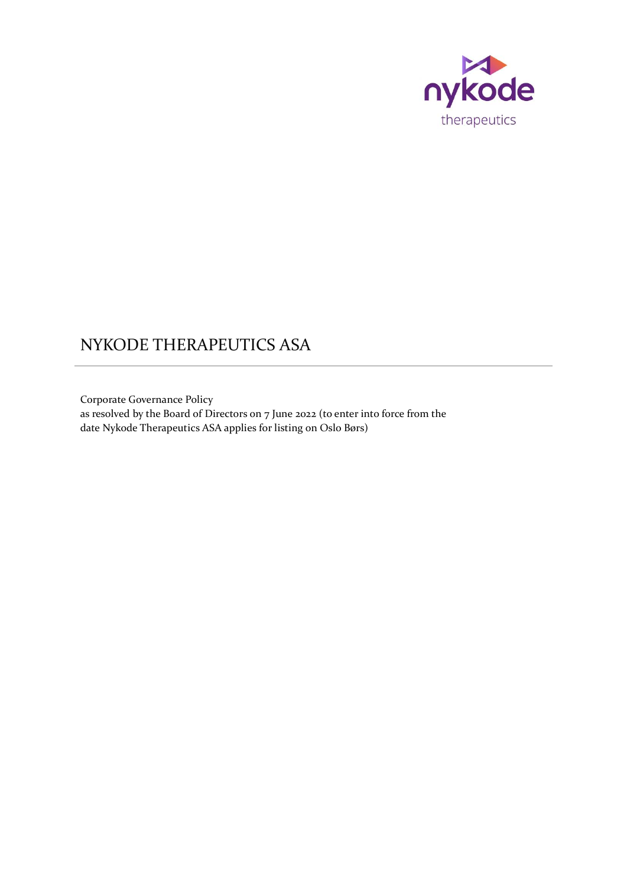

# NYKODE THERAPEUTICS ASA

Corporate Governance Policy as resolved by the Board of Directors on 7 June 2022 (to enter into force from the date Nykode Therapeutics ASA applies for listing on Oslo Børs)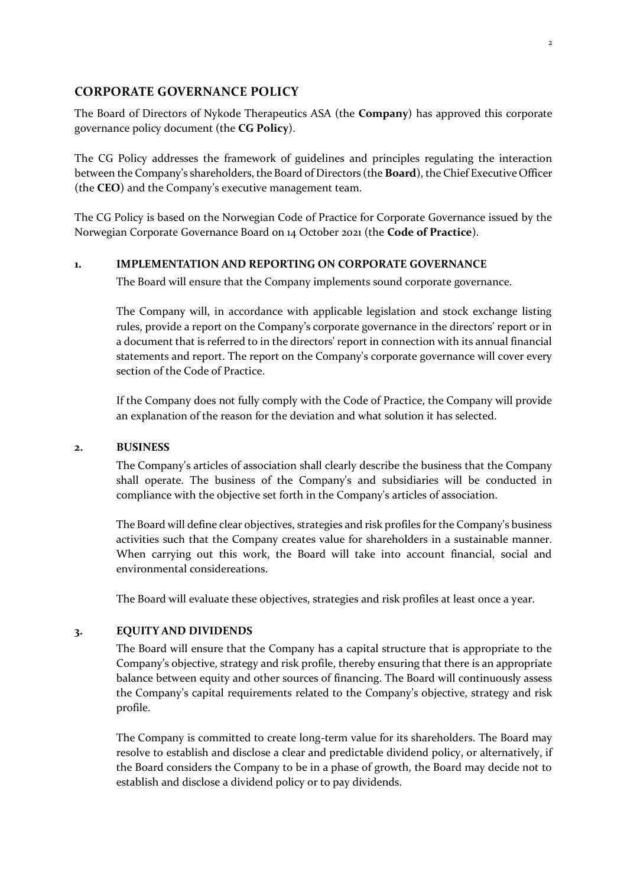## **CORPORATE GOVERNANCE POLICY**

The Board of Directors of Nykode Therapeutics ASA (the **Company**) has approved this corporate governance policy document (the **CG Policy**).

The CG Policy addresses the framework of guidelines and principles regulating the interaction between the Company's shareholders, the Board of Directors (the **Board**), the Chief Executive Officer (the **CEO**) and the Company's executive management team.

The CG Policy is based on the Norwegian Code of Practice for Corporate Governance issued by the Norwegian Corporate Governance Board on 14 October 2021 (the **Code of Practice**).

### **1. IMPLEMENTATION AND REPORTING ON CORPORATE GOVERNANCE**

The Board will ensure that the Company implements sound corporate governance.

The Company will, in accordance with applicable legislation and stock exchange listing rules, provide a report on the Company's corporate governance in the directors' report or in a document that is referred to in the directors' report in connection with its annual financial statements and report. The report on the Company's corporate governance will cover every section of the Code of Practice.

If the Company does not fully comply with the Code of Practice, the Company will provide an explanation of the reason for the deviation and what solution it has selected.

#### **2. BUSINESS**

The Company's articles of association shall clearly describe the business that the Company shall operate. The business of the Company's and subsidiaries will be conducted in compliance with the objective set forth in the Company's articles of association.

The Board will define clear objectives, strategies and risk profiles for the Company's business activities such that the Company creates value for shareholders in a sustainable manner. When carrying out this work, the Board will take into account financial, social and environmental considereations.

The Board will evaluate these objectives, strategies and risk profiles at least once a year.

### **3. EQUITY AND DIVIDENDS**

The Board will ensure that the Company has a capital structure that is appropriate to the Company's objective, strategy and risk profile, thereby ensuring that there is an appropriate balance between equity and other sources of financing. The Board will continuously assess the Company's capital requirements related to the Company's objective, strategy and risk profile.

The Company is committed to create long-term value for its shareholders. The Board may resolve to establish and disclose a clear and predictable dividend policy, or alternatively, if the Board considers the Company to be in a phase of growth, the Board may decide not to establish and disclose a dividend policy or to pay dividends.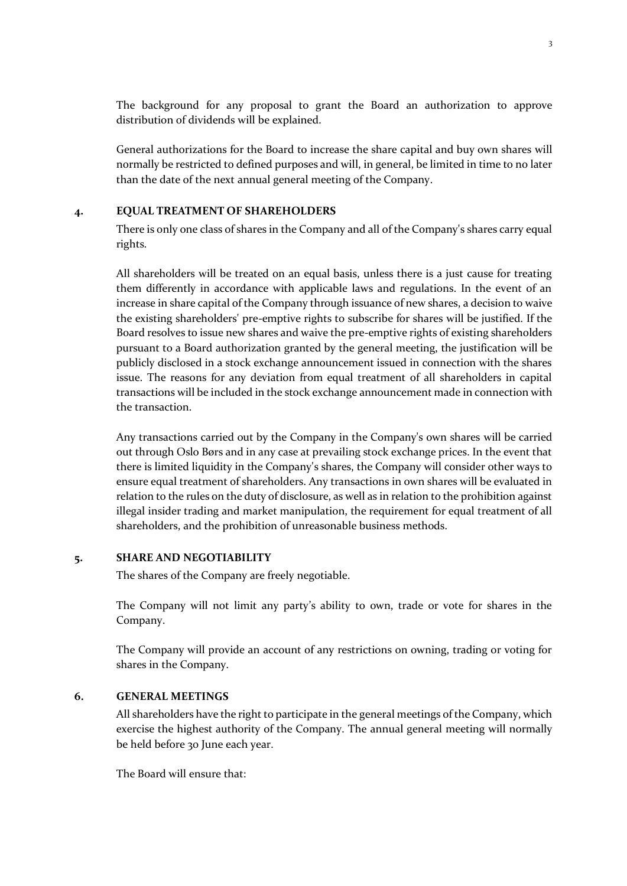The background for any proposal to grant the Board an authorization to approve distribution of dividends will be explained.

General authorizations for the Board to increase the share capital and buy own shares will normally be restricted to defined purposes and will, in general, be limited in time to no later than the date of the next annual general meeting of the Company.

#### **4. EQUAL TREATMENT OF SHAREHOLDERS**

There is only one class of shares in the Company and all of the Company's shares carry equal rights.

All shareholders will be treated on an equal basis, unless there is a just cause for treating them differently in accordance with applicable laws and regulations. In the event of an increase in share capital of the Company through issuance of new shares, a decision to waive the existing shareholders' pre-emptive rights to subscribe for shares will be justified. If the Board resolves to issue new shares and waive the pre-emptive rights of existing shareholders pursuant to a Board authorization granted by the general meeting, the justification will be publicly disclosed in a stock exchange announcement issued in connection with the shares issue. The reasons for any deviation from equal treatment of all shareholders in capital transactions will be included in the stock exchange announcement made in connection with the transaction.

Any transactions carried out by the Company in the Company's own shares will be carried out through Oslo Børs and in any case at prevailing stock exchange prices. In the event that there is limited liquidity in the Company's shares, the Company will consider other ways to ensure equal treatment of shareholders. Any transactions in own shares will be evaluated in relation to the rules on the duty of disclosure, as well as in relation to the prohibition against illegal insider trading and market manipulation, the requirement for equal treatment of all shareholders, and the prohibition of unreasonable business methods.

#### **5. SHARE AND NEGOTIABILITY**

The shares of the Company are freely negotiable.

The Company will not limit any party's ability to own, trade or vote for shares in the Company.

The Company will provide an account of any restrictions on owning, trading or voting for shares in the Company.

## **6. GENERAL MEETINGS**

All shareholders have the right to participate in the general meetings of the Company, which exercise the highest authority of the Company. The annual general meeting will normally be held before 30 June each year.

The Board will ensure that: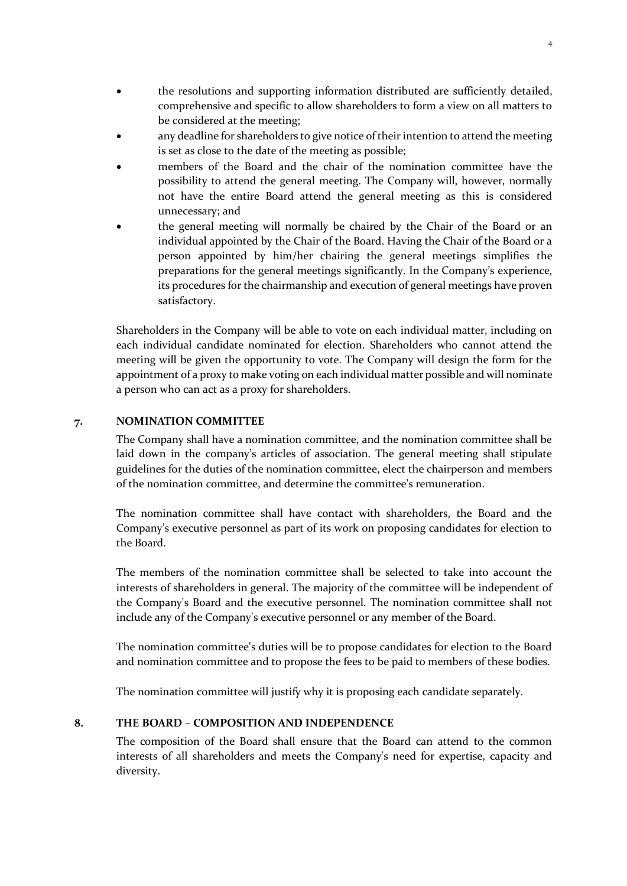- the resolutions and supporting information distributed are sufficiently detailed, comprehensive and specific to allow shareholders to form a view on all matters to be considered at the meeting;
- any deadline for shareholders to give notice of their intention to attend the meeting is set as close to the date of the meeting as possible;
- members of the Board and the chair of the nomination committee have the possibility to attend the general meeting. The Company will, however, normally not have the entire Board attend the general meeting as this is considered unnecessary; and
- the general meeting will normally be chaired by the Chair of the Board or an individual appointed by the Chair of the Board. Having the Chair of the Board or a person appointed by him/her chairing the general meetings simplifies the preparations for the general meetings significantly. In the Company's experience, its procedures for the chairmanship and execution of general meetings have proven satisfactory.

Shareholders in the Company will be able to vote on each individual matter, including on each individual candidate nominated for election. Shareholders who cannot attend the meeting will be given the opportunity to vote. The Company will design the form for the appointment of a proxy to make voting on each individual matter possible and will nominate a person who can act as a proxy for shareholders.

### **7. NOMINATION COMMITTEE**

The Company shall have a nomination committee, and the nomination committee shall be laid down in the company's articles of association. The general meeting shall stipulate guidelines for the duties of the nomination committee, elect the chairperson and members of the nomination committee, and determine the committee's remuneration.

The nomination committee shall have contact with shareholders, the Board and the Company's executive personnel as part of its work on proposing candidates for election to the Board.

The members of the nomination committee shall be selected to take into account the interests of shareholders in general. The majority of the committee will be independent of the Company's Board and the executive personnel. The nomination committee shall not include any of the Company's executive personnel or any member of the Board.

The nomination committee's duties will be to propose candidates for election to the Board and nomination committee and to propose the fees to be paid to members of these bodies.

The nomination committee will justify why it is proposing each candidate separately.

#### **8. THE BOARD – COMPOSITION AND INDEPENDENCE**

The composition of the Board shall ensure that the Board can attend to the common interests of all shareholders and meets the Company's need for expertise, capacity and diversity.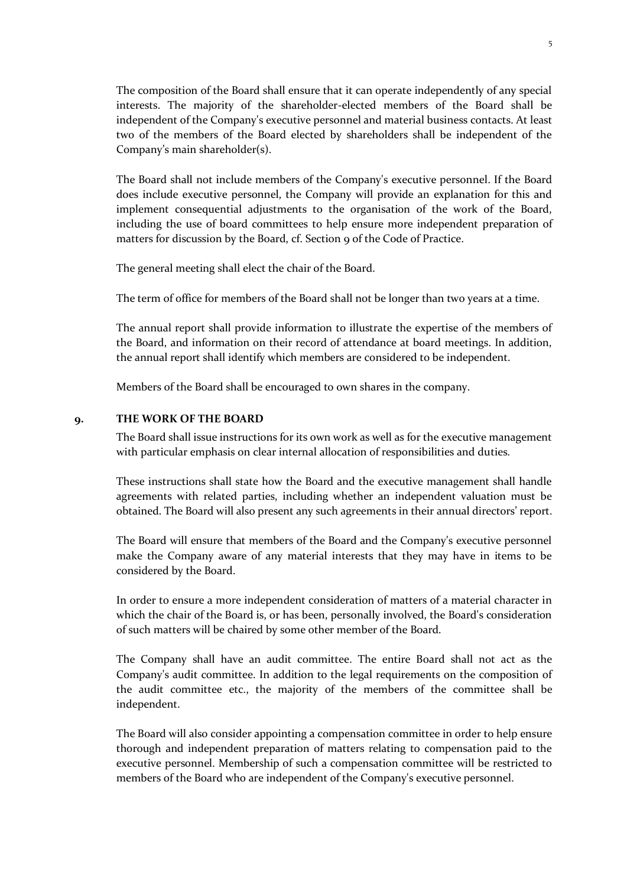The composition of the Board shall ensure that it can operate independently of any special interests. The majority of the shareholder-elected members of the Board shall be independent of the Company's executive personnel and material business contacts. At least two of the members of the Board elected by shareholders shall be independent of the Company's main shareholder(s).

The Board shall not include members of the Company's executive personnel. If the Board does include executive personnel, the Company will provide an explanation for this and implement consequential adjustments to the organisation of the work of the Board, including the use of board committees to help ensure more independent preparation of matters for discussion by the Board, cf. Section 9 of the Code of Practice.

The general meeting shall elect the chair of the Board.

The term of office for members of the Board shall not be longer than two years at a time.

The annual report shall provide information to illustrate the expertise of the members of the Board, and information on their record of attendance at board meetings. In addition, the annual report shall identify which members are considered to be independent.

Members of the Board shall be encouraged to own shares in the company.

#### **9. THE WORK OF THE BOARD**

The Board shall issue instructions for its own work as well as for the executive management with particular emphasis on clear internal allocation of responsibilities and duties.

These instructions shall state how the Board and the executive management shall handle agreements with related parties, including whether an independent valuation must be obtained. The Board will also present any such agreements in their annual directors' report.

The Board will ensure that members of the Board and the Company's executive personnel make the Company aware of any material interests that they may have in items to be considered by the Board.

In order to ensure a more independent consideration of matters of a material character in which the chair of the Board is, or has been, personally involved, the Board's consideration of such matters will be chaired by some other member of the Board.

The Company shall have an audit committee. The entire Board shall not act as the Company's audit committee. In addition to the legal requirements on the composition of the audit committee etc., the majority of the members of the committee shall be independent.

The Board will also consider appointing a compensation committee in order to help ensure thorough and independent preparation of matters relating to compensation paid to the executive personnel. Membership of such a compensation committee will be restricted to members of the Board who are independent of the Company's executive personnel.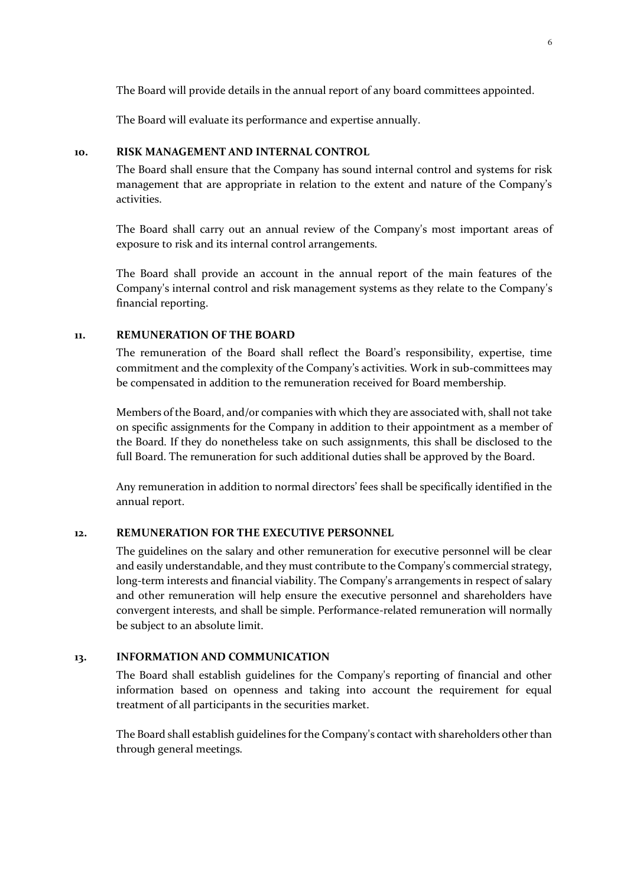The Board will provide details in the annual report of any board committees appointed.

The Board will evaluate its performance and expertise annually.

## **10. RISK MANAGEMENT AND INTERNAL CONTROL**

The Board shall ensure that the Company has sound internal control and systems for risk management that are appropriate in relation to the extent and nature of the Company's activities.

The Board shall carry out an annual review of the Company's most important areas of exposure to risk and its internal control arrangements.

The Board shall provide an account in the annual report of the main features of the Company's internal control and risk management systems as they relate to the Company's financial reporting.

#### **11. REMUNERATION OF THE BOARD**

The remuneration of the Board shall reflect the Board's responsibility, expertise, time commitment and the complexity of the Company's activities. Work in sub-committees may be compensated in addition to the remuneration received for Board membership.

Members of the Board, and/or companies with which they are associated with, shall not take on specific assignments for the Company in addition to their appointment as a member of the Board. If they do nonetheless take on such assignments, this shall be disclosed to the full Board. The remuneration for such additional duties shall be approved by the Board.

Any remuneration in addition to normal directors' fees shall be specifically identified in the annual report.

#### **12. REMUNERATION FOR THE EXECUTIVE PERSONNEL**

The guidelines on the salary and other remuneration for executive personnel will be clear and easily understandable, and they must contribute to the Company's commercial strategy, long-term interests and financial viability. The Company's arrangements in respect of salary and other remuneration will help ensure the executive personnel and shareholders have convergent interests, and shall be simple. Performance-related remuneration will normally be subject to an absolute limit.

# **13. INFORMATION AND COMMUNICATION**

The Board shall establish guidelines for the Company's reporting of financial and other information based on openness and taking into account the requirement for equal treatment of all participants in the securities market.

The Board shall establish guidelines for the Company's contact with shareholders other than through general meetings.